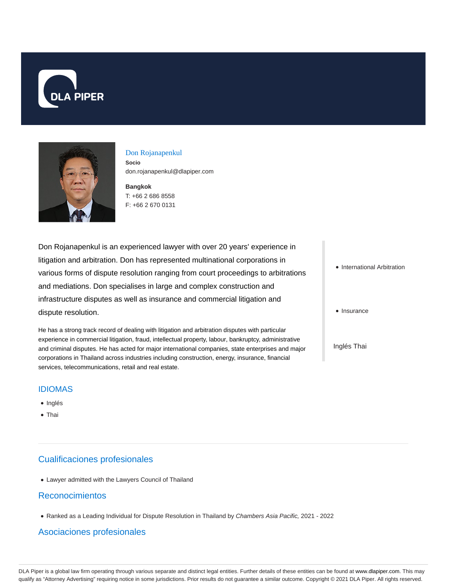



#### Don Rojanapenkul

**Socio** don.rojanapenkul@dlapiper.com

**Bangkok** T: +66 2 686 8558 F: +66 2 670 0131

Don Rojanapenkul is an experienced lawyer with over 20 years' experience in litigation and arbitration. Don has represented multinational corporations in various forms of dispute resolution ranging from court proceedings to arbitrations and mediations. Don specialises in large and complex construction and infrastructure disputes as well as insurance and commercial litigation and dispute resolution.

He has a strong track record of dealing with litigation and arbitration disputes with particular experience in commercial litigation, fraud, intellectual property, labour, bankruptcy, administrative and criminal disputes. He has acted for major international companies, state enterprises and major corporations in Thailand across industries including construction, energy, insurance, financial services, telecommunications, retail and real estate.

#### IDIOMAS

- Inglés
- Thai

## Cualificaciones profesionales

Lawyer admitted with the Lawyers Council of Thailand

### Reconocimientos

Ranked as a Leading Individual for Dispute Resolution in Thailand by Chambers Asia Pacific, 2021 - 2022

### Asociaciones profesionales

- International Arbitration
- Insurance
- Inglés Thai

DLA Piper is a global law firm operating through various separate and distinct legal entities. Further details of these entities can be found at www.dlapiper.com. This may qualify as "Attorney Advertising" requiring notice in some jurisdictions. Prior results do not guarantee a similar outcome. Copyright @ 2021 DLA Piper. All rights reserved.